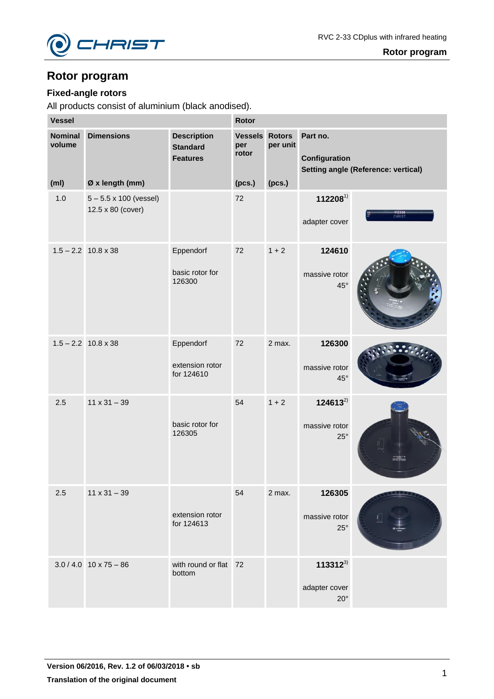

# **Fixed-angle rotors**

| <b>Vessel</b>                                 |                                                    |                                                          | Rotor                                           |                    |                                               |                                            |
|-----------------------------------------------|----------------------------------------------------|----------------------------------------------------------|-------------------------------------------------|--------------------|-----------------------------------------------|--------------------------------------------|
| <b>Nominal</b><br>volume<br>(m <sub>l</sub> ) | <b>Dimensions</b><br>Ø x length (mm)               | <b>Description</b><br><b>Standard</b><br><b>Features</b> | <b>Vessels Rotors</b><br>per<br>rotor<br>(pcs.) | per unit<br>(pcs.) | Part no.<br>Configuration                     | <b>Setting angle (Reference: vertical)</b> |
| 1.0                                           | $5 - 5.5 \times 100$ (vessel)<br>12.5 x 80 (cover) |                                                          | 72                                              |                    | 1122081)<br>adapter cover                     | 112208<br>CHRIST                           |
|                                               | $1.5 - 2.2$ 10.8 x 38                              | Eppendorf<br>basic rotor for<br>126300                   | 72                                              | $1 + 2$            | 124610<br>massive rotor<br>$45^{\circ}$       |                                            |
|                                               | $1.5 - 2.2$ 10.8 x 38                              | Eppendorf<br>extension rotor<br>for 124610               | 72                                              | 2 max.             | 126300<br>massive rotor<br>$45^{\circ}$       |                                            |
| 2.5                                           | $11 \times 31 - 39$                                | basic rotor for<br>126305                                | 54                                              | $1 + 2$            | $124613^{2}$<br>massive rotor<br>$25^{\circ}$ |                                            |
| 2.5                                           | $11 \times 31 - 39$                                | extension rotor<br>for 124613                            | 54                                              | 2 max.             | 126305<br>massive rotor<br>$25^{\circ}$       |                                            |
|                                               | $3.0 / 4.0$ 10 x 75 - 86                           | with round or flat 72<br>bottom                          |                                                 |                    | $113312^{3}$<br>adapter cover<br>$20^{\circ}$ |                                            |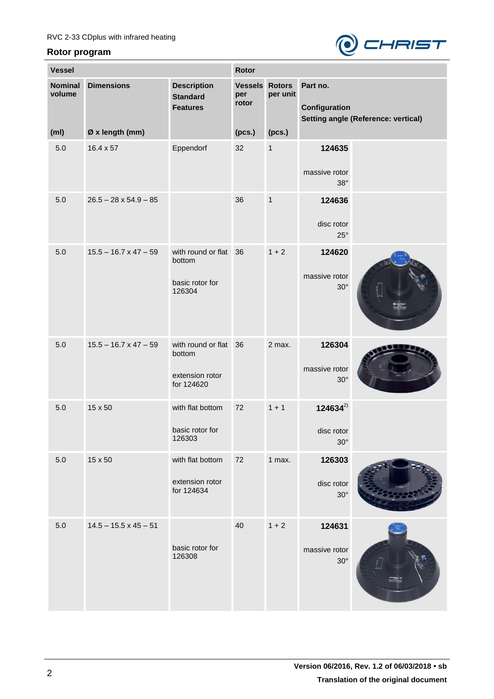

| <b>Vessel</b>            |                              |                                                               |                                       | Rotor        |                                          |                                            |  |
|--------------------------|------------------------------|---------------------------------------------------------------|---------------------------------------|--------------|------------------------------------------|--------------------------------------------|--|
| <b>Nominal</b><br>volume | <b>Dimensions</b>            | <b>Description</b><br><b>Standard</b><br><b>Features</b>      | <b>Vessels Rotors</b><br>per<br>rotor | per unit     | Part no.<br>Configuration                | <b>Setting angle (Reference: vertical)</b> |  |
| (m <sub>l</sub> )        | Ø x length (mm)              |                                                               | (pcs.)                                | (pcs.)       |                                          |                                            |  |
| 5.0                      | $16.4 \times 57$             | Eppendorf                                                     | 32                                    | $\mathbf 1$  | 124635<br>massive rotor<br>$38^\circ$    |                                            |  |
| 5.0                      | $26.5 - 28 \times 54.9 - 85$ |                                                               | 36                                    | $\mathbf{1}$ | 124636<br>disc rotor<br>$25^{\circ}$     |                                            |  |
| 5.0                      | $15.5 - 16.7 \times 47 - 59$ | with round or flat<br>bottom<br>basic rotor for<br>126304     | 36                                    | $1 + 2$      | 124620<br>massive rotor<br>$30^\circ$    |                                            |  |
| 5.0                      | $15.5 - 16.7 \times 47 - 59$ | with round or flat<br>bottom<br>extension rotor<br>for 124620 | 36                                    | 2 max.       | 126304<br>massive rotor<br>$30^\circ$    |                                            |  |
| 5.0                      | 15 x 50                      | with flat bottom<br>basic rotor for<br>126303                 | 72                                    | $1 + 1$      | $124634^{2}$<br>disc rotor<br>$30^\circ$ |                                            |  |
| 5.0                      | 15 x 50                      | with flat bottom<br>extension rotor<br>for 124634             | 72                                    | 1 max.       | 126303<br>disc rotor<br>$30^\circ$       |                                            |  |
| 5.0                      | $14.5 - 15.5 \times 45 - 51$ | basic rotor for<br>126308                                     | 40                                    | $1 + 2$      | 124631<br>massive rotor<br>$30^\circ$    |                                            |  |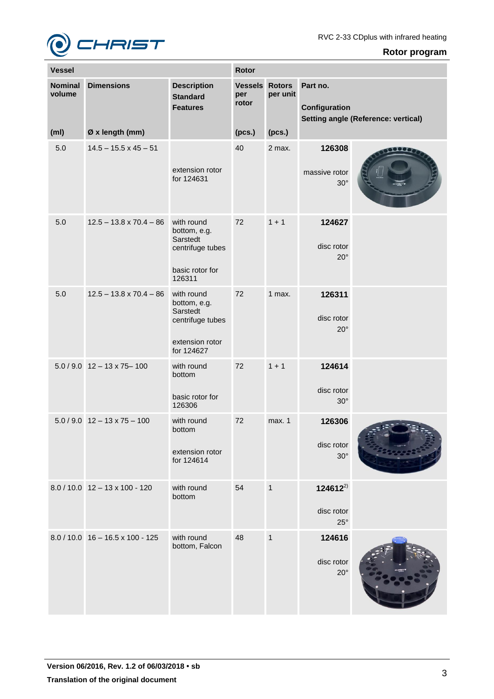

| <b>Vessel</b>            |                                    |                                                                                             | <b>Rotor</b>                   |                           |                                            |                                     |
|--------------------------|------------------------------------|---------------------------------------------------------------------------------------------|--------------------------------|---------------------------|--------------------------------------------|-------------------------------------|
| <b>Nominal</b><br>volume | <b>Dimensions</b>                  | <b>Description</b><br><b>Standard</b><br><b>Features</b>                                    | <b>Vessels</b><br>per<br>rotor | <b>Rotors</b><br>per unit | Part no.<br>Configuration                  | Setting angle (Reference: vertical) |
| (m <sub>l</sub> )        | Ø x length (mm)                    |                                                                                             | (pcs.)                         | (pcs.)                    |                                            |                                     |
| 5.0                      | $14.5 - 15.5 \times 45 - 51$       | extension rotor<br>for 124631                                                               | 40                             | 2 max.                    | 126308<br>massive rotor<br>$30^\circ$      | DO 6                                |
| 5.0                      | $12.5 - 13.8 \times 70.4 - 86$     | with round<br>bottom, e.g.<br>Sarstedt<br>centrifuge tubes<br>basic rotor for<br>126311     | 72                             | $1 + 1$                   | 124627<br>disc rotor<br>$20^{\circ}$       |                                     |
| 5.0                      | $12.5 - 13.8 \times 70.4 - 86$     | with round<br>bottom, e.g.<br>Sarstedt<br>centrifuge tubes<br>extension rotor<br>for 124627 | 72                             | 1 max.                    | 126311<br>disc rotor<br>$20^{\circ}$       |                                     |
|                          | $5.0 / 9.0$ 12 - 13 x 75-100       | with round<br>bottom<br>basic rotor for<br>126306                                           | 72                             | $1 + 1$                   | 124614<br>disc rotor<br>$30^\circ$         |                                     |
|                          | $5.0 / 9.0$ 12 - 13 x 75 - 100     | with round<br>bottom<br>extension rotor<br>for 124614                                       | 72                             | max. 1                    | 126306<br>disc rotor<br>$30^\circ$         |                                     |
|                          | $8.0 / 10.0$ 12 - 13 x 100 - 120   | with round<br>bottom                                                                        | 54                             | $\mathbf{1}$              | $124612^{2}$<br>disc rotor<br>$25^{\circ}$ |                                     |
|                          | $8.0 / 10.0$ 16 - 16.5 x 100 - 125 | with round<br>bottom, Falcon                                                                | 48                             | $\mathbf{1}$              | 124616<br>disc rotor<br>$20^{\circ}$       |                                     |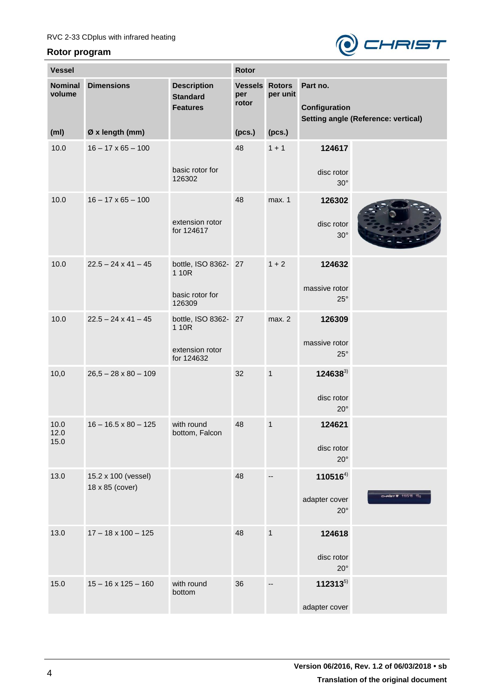

| <b>Vessel</b>            |                                        |                                                                | Rotor                                 |              |                                               |                                            |
|--------------------------|----------------------------------------|----------------------------------------------------------------|---------------------------------------|--------------|-----------------------------------------------|--------------------------------------------|
| <b>Nominal</b><br>volume | <b>Dimensions</b>                      | <b>Description</b><br><b>Standard</b><br><b>Features</b>       | <b>Vessels Rotors</b><br>per<br>rotor | per unit     | Part no.<br>Configuration                     | <b>Setting angle (Reference: vertical)</b> |
| (m <sub>l</sub> )        | Ø x length (mm)                        |                                                                | (pcs.)                                | (pcs.)       |                                               |                                            |
| 10.0                     | $16 - 17 \times 65 - 100$              | basic rotor for<br>126302                                      | 48                                    | $1 + 1$      | 124617<br>disc rotor<br>$30^\circ$            |                                            |
| 10.0                     | $16 - 17 \times 65 - 100$              | extension rotor<br>for 124617                                  | 48                                    | max. 1       | 126302<br>disc rotor<br>$30^\circ$            |                                            |
| 10.0                     | $22.5 - 24 \times 41 - 45$             | bottle, ISO 8362- 27<br>1 10R<br>basic rotor for<br>126309     |                                       | $1 + 2$      | 124632<br>massive rotor<br>$25^\circ$         |                                            |
| 10.0                     | $22.5 - 24 \times 41 - 45$             | bottle, ISO 8362- 27<br>1 10R<br>extension rotor<br>for 124632 |                                       | max. 2       | 126309<br>massive rotor<br>$25^\circ$         |                                            |
| 10,0                     | $26,5 - 28 \times 80 - 109$            |                                                                | 32                                    | $\mathbf{1}$ | $124638^{3}$<br>disc rotor<br>$20^{\circ}$    |                                            |
| 10.0<br>12.0<br>15.0     | $16 - 16.5 \times 80 - 125$            | with round<br>bottom, Falcon                                   | 48                                    | $\mathbf{1}$ | 124621<br>disc rotor<br>$20^{\circ}$          |                                            |
| 13.0                     | 15.2 x 100 (vessel)<br>18 x 85 (cover) |                                                                | 48                                    |              | $110516^{4}$<br>adapter cover<br>$20^{\circ}$ | CHRIST @ 110516 15g                        |
| 13.0                     | $17 - 18 \times 100 - 125$             |                                                                | 48                                    | $\mathbf{1}$ | 124618<br>disc rotor<br>$20^{\circ}$          |                                            |
| 15.0                     | $15 - 16 \times 125 - 160$             | with round<br>bottom                                           | 36                                    |              | $112313^{5}$<br>adapter cover                 |                                            |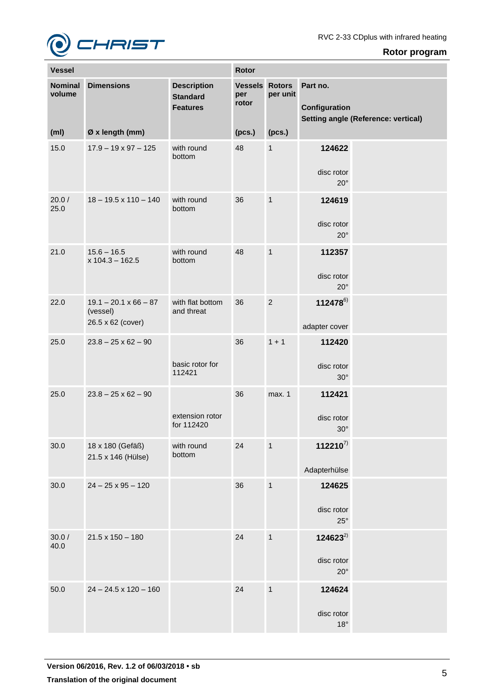

| <b>Vessel</b>            |                                                               |                                                          | Rotor                                 |                |                                            |                                            |
|--------------------------|---------------------------------------------------------------|----------------------------------------------------------|---------------------------------------|----------------|--------------------------------------------|--------------------------------------------|
| <b>Nominal</b><br>volume | <b>Dimensions</b>                                             | <b>Description</b><br><b>Standard</b><br><b>Features</b> | <b>Vessels Rotors</b><br>per<br>rotor | per unit       | Part no.<br>Configuration                  | <b>Setting angle (Reference: vertical)</b> |
| (m <sub>l</sub> )        | Ø x length (mm)                                               |                                                          | (pcs.)                                | (pcs.)         |                                            |                                            |
| 15.0                     | $17.9 - 19 \times 97 - 125$                                   | with round<br>bottom                                     | 48                                    | $\mathbf{1}$   | 124622<br>disc rotor<br>$20^{\circ}$       |                                            |
| 20.0/<br>25.0            | $18 - 19.5 \times 110 - 140$                                  | with round<br>bottom                                     | 36                                    | $\mathbf{1}$   | 124619<br>disc rotor<br>$20^{\circ}$       |                                            |
| 21.0                     | $15.6 - 16.5$<br>$x 104.3 - 162.5$                            | with round<br>bottom                                     | 48                                    | $\mathbf{1}$   | 112357<br>disc rotor<br>$20^{\circ}$       |                                            |
| 22.0                     | $19.1 - 20.1 \times 66 - 87$<br>(vessel)<br>26.5 x 62 (cover) | with flat bottom<br>and threat                           | 36                                    | $\overline{2}$ | 1124786)<br>adapter cover                  |                                            |
| 25.0                     | $23.8 - 25 \times 62 - 90$                                    | basic rotor for<br>112421                                | 36                                    | $1 + 1$        | 112420<br>disc rotor<br>$30^\circ$         |                                            |
| 25.0                     | $23.8 - 25 \times 62 - 90$                                    | extension rotor<br>for 112420                            | 36                                    | max. 1         | 112421<br>disc rotor<br>$30^\circ$         |                                            |
| 30.0                     | 18 x 180 (Gefäß)<br>21.5 x 146 (Hülse)                        | with round<br>bottom                                     | 24                                    | $\mathbf{1}$   | $112210^{7}$<br>Adapterhülse               |                                            |
| 30.0                     | $24 - 25 \times 95 - 120$                                     |                                                          | 36                                    | $\mathbf{1}$   | 124625<br>disc rotor<br>$25^{\circ}$       |                                            |
| 30.0 /<br>40.0           | $21.5 \times 150 - 180$                                       |                                                          | 24                                    | $\mathbf{1}$   | $124623^{2}$<br>disc rotor<br>$20^{\circ}$ |                                            |
| 50.0                     | $24 - 24.5 \times 120 - 160$                                  |                                                          | 24                                    | $\mathbf{1}$   | 124624<br>disc rotor<br>$18^{\circ}$       |                                            |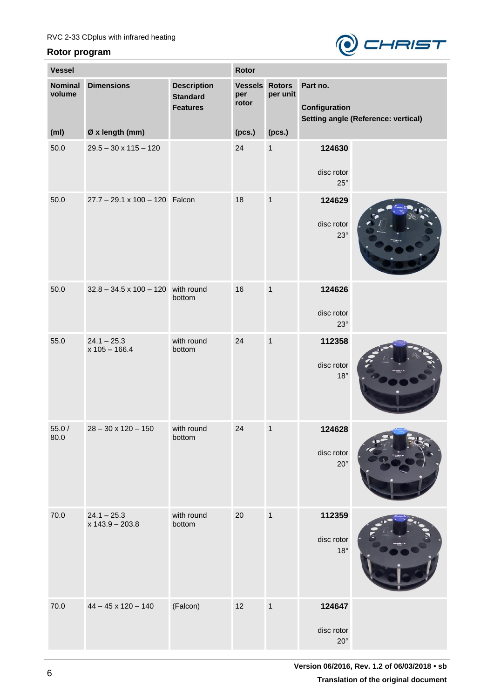

| <b>Vessel</b>            |                                           |                                                          |                                       |              | Rotor                                |                                            |  |  |
|--------------------------|-------------------------------------------|----------------------------------------------------------|---------------------------------------|--------------|--------------------------------------|--------------------------------------------|--|--|
| <b>Nominal</b><br>volume | <b>Dimensions</b>                         | <b>Description</b><br><b>Standard</b><br><b>Features</b> | <b>Vessels Rotors</b><br>per<br>rotor | per unit     | Part no.<br>Configuration            | <b>Setting angle (Reference: vertical)</b> |  |  |
| (m <sub>l</sub> )        | Ø x length (mm)                           |                                                          | (pcs.)                                | (pcs.)       |                                      |                                            |  |  |
| 50.0                     | $29.5 - 30 \times 115 - 120$              |                                                          | 24                                    | $\mathbf{1}$ | 124630<br>disc rotor<br>$25^{\circ}$ |                                            |  |  |
| 50.0                     | 27.7 - 29.1 x 100 - 120 Falcon            |                                                          | 18                                    | $\mathbf{1}$ | 124629<br>disc rotor<br>$23^\circ$   |                                            |  |  |
| 50.0                     | $32.8 - 34.5 \times 100 - 120$ with round | bottom                                                   | 16                                    | $\mathbf{1}$ | 124626<br>disc rotor<br>$23^\circ$   |                                            |  |  |
| 55.0                     | $24.1 - 25.3$<br>$x 105 - 166.4$          | with round<br>bottom                                     | 24                                    | $\mathbf{1}$ | 112358<br>disc rotor<br>$18^{\circ}$ |                                            |  |  |
| 55.0 /<br>$80.0\,$       | $28 - 30 \times 120 - 150$                | with round<br>bottom                                     | 24                                    | $\mathbf{1}$ | 124628<br>disc rotor<br>$20^{\circ}$ |                                            |  |  |
| 70.0                     | $24.1 - 25.3$<br>$x 143.9 - 203.8$        | with round<br>bottom                                     | 20                                    | $\mathbf{1}$ | 112359<br>disc rotor<br>$18^{\circ}$ |                                            |  |  |
| 70.0                     | $44 - 45 \times 120 - 140$                | (Falcon)                                                 | 12                                    | $\mathbf{1}$ | 124647<br>disc rotor<br>$20^{\circ}$ |                                            |  |  |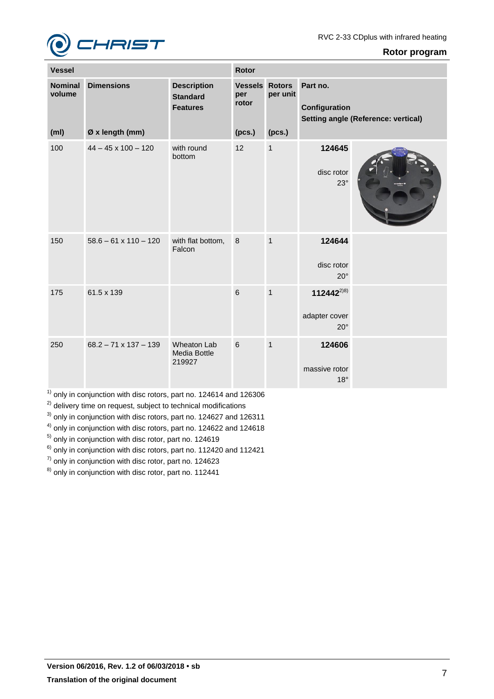

| <b>Vessel</b>                                 |                                      |                                                          | <b>Rotor</b>                                    |                    |                                                                         |  |  |
|-----------------------------------------------|--------------------------------------|----------------------------------------------------------|-------------------------------------------------|--------------------|-------------------------------------------------------------------------|--|--|
| <b>Nominal</b><br>volume<br>(m <sub>l</sub> ) | <b>Dimensions</b><br>Ø x length (mm) | <b>Description</b><br><b>Standard</b><br><b>Features</b> | <b>Vessels Rotors</b><br>per<br>rotor<br>(pcs.) | per unit<br>(pcs.) | Part no.<br>Configuration<br><b>Setting angle (Reference: vertical)</b> |  |  |
|                                               |                                      |                                                          |                                                 |                    |                                                                         |  |  |
| 100                                           | $44 - 45 \times 100 - 120$           | with round<br>bottom                                     | 12                                              | $\mathbf{1}$       | 124645<br>disc rotor<br>$23^\circ$                                      |  |  |
| 150                                           | $58.6 - 61 \times 110 - 120$         | with flat bottom,<br>Falcon                              | $\,8\,$                                         | $\mathbf{1}$       | 124644<br>disc rotor<br>$20^{\circ}$                                    |  |  |
| 175                                           | 61.5 x 139                           |                                                          | $6\overline{6}$                                 | $\overline{1}$     | $112442^{2 8}$<br>adapter cover<br>$20^{\circ}$                         |  |  |
| 250                                           | $68.2 - 71 \times 137 - 139$         | <b>Wheaton Lab</b><br><b>Media Bottle</b><br>219927      | $6\phantom{a}$                                  | $\overline{1}$     | 124606<br>massive rotor<br>$18^{\circ}$                                 |  |  |

 $<sup>1)</sup>$  only in conjunction with disc rotors, part no. 124614 and 126306</sup>

<sup>2)</sup> delivery time on request, subject to technical modifications

<sup>3)</sup> only in conjunction with disc rotors, part no. 124627 and 126311

<sup>4)</sup> only in conjunction with disc rotors, part no. 124622 and 124618

<sup>5)</sup> only in conjunction with disc rotor, part no. 124619

 $6$ ) only in conjunction with disc rotors, part no. 112420 and 112421

 $<sup>7</sup>$  only in conjunction with disc rotor, part no. 124623</sup>

<sup>8)</sup> only in conjunction with disc rotor, part no. 112441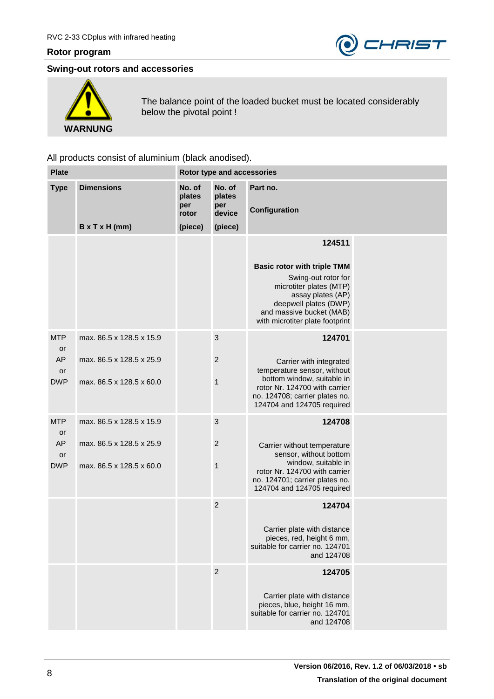

## **Swing-out rotors and accessories**



The balance point of the loaded bucket must be located considerably below the pivotal point !

| <b>Plate</b>                               |                                                                                  |                                             | Rotor type and accessories                   |                                                                                                                                                                                                             |  |  |  |
|--------------------------------------------|----------------------------------------------------------------------------------|---------------------------------------------|----------------------------------------------|-------------------------------------------------------------------------------------------------------------------------------------------------------------------------------------------------------------|--|--|--|
| <b>Type</b>                                | <b>Dimensions</b><br>$B \times T \times H$ (mm)                                  | No. of<br>plates<br>per<br>rotor<br>(piece) | No. of<br>plates<br>per<br>device<br>(piece) | Part no.<br>Configuration                                                                                                                                                                                   |  |  |  |
|                                            |                                                                                  |                                             |                                              | 124511<br><b>Basic rotor with triple TMM</b><br>Swing-out rotor for<br>microtiter plates (MTP)<br>assay plates (AP)<br>deepwell plates (DWP)<br>and massive bucket (MAB)<br>with microtiter plate footprint |  |  |  |
| <b>MTP</b><br>or<br>AP<br>or<br><b>DWP</b> | max. 86.5 x 128.5 x 15.9<br>max, 86.5 x 128.5 x 25.9<br>max. 86.5 x 128.5 x 60.0 |                                             | 3<br>$\boldsymbol{2}$<br>1                   | 124701<br>Carrier with integrated<br>temperature sensor, without<br>bottom window, suitable in<br>rotor Nr. 124700 with carrier<br>no. 124708; carrier plates no.<br>124704 and 124705 required             |  |  |  |
| <b>MTP</b><br>or<br>AP<br>or<br><b>DWP</b> | max. 86.5 x 128.5 x 15.9<br>max. 86.5 x 128.5 x 25.9<br>max. 86.5 x 128.5 x 60.0 |                                             | $\mathbf{3}$<br>$\overline{2}$<br>1          | 124708<br>Carrier without temperature<br>sensor, without bottom<br>window, suitable in<br>rotor Nr. 124700 with carrier<br>no. 124701; carrier plates no.<br>124704 and 124705 required                     |  |  |  |
|                                            |                                                                                  |                                             | $\overline{2}$                               | 124704<br>Carrier plate with distance<br>pieces, red, height 6 mm,<br>suitable for carrier no. 124701<br>and 124708                                                                                         |  |  |  |
|                                            |                                                                                  |                                             | $\overline{2}$                               | 124705<br>Carrier plate with distance<br>pieces, blue, height 16 mm,<br>suitable for carrier no. 124701<br>and 124708                                                                                       |  |  |  |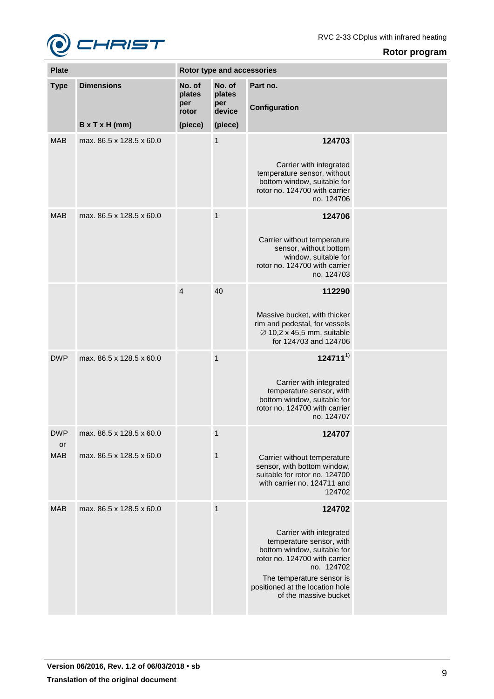

e en

| Rotor program |
|---------------|
|               |

| <b>Plate</b>     |                            |                                  | Rotor type and accessories        |                                                                                                                                                                                                                                      |  |  |  |
|------------------|----------------------------|----------------------------------|-----------------------------------|--------------------------------------------------------------------------------------------------------------------------------------------------------------------------------------------------------------------------------------|--|--|--|
| <b>Type</b>      | <b>Dimensions</b>          | No. of<br>plates<br>per<br>rotor | No. of<br>plates<br>per<br>device | Part no.<br>Configuration                                                                                                                                                                                                            |  |  |  |
|                  | $B \times T \times H$ (mm) | (piece)                          | (piece)                           |                                                                                                                                                                                                                                      |  |  |  |
| <b>MAB</b>       | max. 86.5 x 128.5 x 60.0   |                                  | $\mathbf{1}$                      | 124703<br>Carrier with integrated<br>temperature sensor, without<br>bottom window, suitable for<br>rotor no. 124700 with carrier<br>no. 124706                                                                                       |  |  |  |
| <b>MAB</b>       | max. 86.5 x 128.5 x 60.0   |                                  | $\mathbf{1}$                      | 124706<br>Carrier without temperature<br>sensor, without bottom<br>window, suitable for<br>rotor no. 124700 with carrier<br>no. 124703                                                                                               |  |  |  |
|                  |                            | $\overline{4}$                   | 40                                | 112290<br>Massive bucket, with thicker<br>rim and pedestal, for vessels<br>$\varnothing$ 10,2 x 45,5 mm, suitable<br>for 124703 and 124706                                                                                           |  |  |  |
| <b>DWP</b>       | max. 86.5 x 128.5 x 60.0   |                                  | $\mathbf{1}$                      | $124711^{1}$<br>Carrier with integrated<br>temperature sensor, with<br>bottom window, suitable for<br>rotor no. 124700 with carrier<br>no. 124707                                                                                    |  |  |  |
| <b>DWP</b>       | max. 86.5 x 128.5 x 60.0   |                                  | 1                                 | 124707                                                                                                                                                                                                                               |  |  |  |
| or<br><b>MAB</b> | max. 86.5 x 128.5 x 60.0   |                                  | $\mathbf{1}$                      | Carrier without temperature<br>sensor, with bottom window,<br>suitable for rotor no. 124700<br>with carrier no. 124711 and<br>124702                                                                                                 |  |  |  |
| <b>MAB</b>       | max. 86.5 x 128.5 x 60.0   |                                  | $\mathbf{1}$                      | 124702<br>Carrier with integrated<br>temperature sensor, with<br>bottom window, suitable for<br>rotor no. 124700 with carrier<br>no. 124702<br>The temperature sensor is<br>positioned at the location hole<br>of the massive bucket |  |  |  |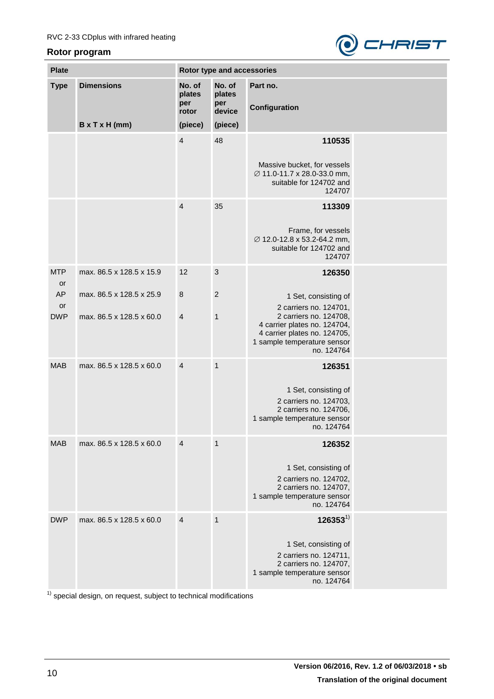

| <b>Plate</b>                 |                                                      | Rotor type and accessories       |                                   |                                                                                                                                       |  |  |  |
|------------------------------|------------------------------------------------------|----------------------------------|-----------------------------------|---------------------------------------------------------------------------------------------------------------------------------------|--|--|--|
| <b>Type</b>                  | <b>Dimensions</b>                                    | No. of<br>plates<br>per<br>rotor | No. of<br>plates<br>per<br>device | Part no.<br>Configuration                                                                                                             |  |  |  |
|                              | $B \times T \times H$ (mm)                           | (piece)                          | (piece)                           |                                                                                                                                       |  |  |  |
|                              |                                                      | $\overline{4}$                   | 48                                | 110535<br>Massive bucket, for vessels<br>Ø 11.0-11.7 x 28.0-33.0 mm,<br>suitable for 124702 and<br>124707                             |  |  |  |
|                              |                                                      | $\overline{4}$                   | 35                                | 113309<br>Frame, for vessels<br>Ø 12.0-12.8 x 53.2-64.2 mm,<br>suitable for 124702 and<br>124707                                      |  |  |  |
| <b>MTP</b><br>or<br>AP<br>or | max. 86.5 x 128.5 x 15.9<br>max. 86.5 x 128.5 x 25.9 | 12<br>$\boldsymbol{8}$           | $\mathbf{3}$<br>$\overline{2}$    | 126350<br>1 Set, consisting of<br>2 carriers no. 124701,                                                                              |  |  |  |
| <b>DWP</b>                   | max. 86.5 x 128.5 x 60.0                             | $\overline{4}$                   | $\mathbf{1}$                      | 2 carriers no. 124708,<br>4 carrier plates no. 124704,<br>4 carrier plates no. 124705,<br>1 sample temperature sensor<br>no. 124764   |  |  |  |
| <b>MAB</b>                   | max. 86.5 x 128.5 x 60.0                             | $\overline{4}$                   | $\mathbf{1}$                      | 126351<br>1 Set, consisting of<br>2 carriers no. 124703,<br>2 carriers no. 124706,<br>1 sample temperature sensor<br>no. 124764       |  |  |  |
| <b>MAB</b>                   | max. 86.5 x 128.5 x 60.0                             | $\overline{4}$                   | $\mathbf{1}$                      | 126352<br>1 Set, consisting of<br>2 carriers no. 124702,<br>2 carriers no. 124707,<br>1 sample temperature sensor<br>no. 124764       |  |  |  |
| <b>DWP</b>                   | max, 86.5 x 128.5 x 60.0                             | $\overline{4}$                   | $\mathbf{1}$                      | $126353^{1}$<br>1 Set, consisting of<br>2 carriers no. 124711,<br>2 carriers no. 124707,<br>1 sample temperature sensor<br>no. 124764 |  |  |  |

 $1)$  special design, on request, subject to technical modifications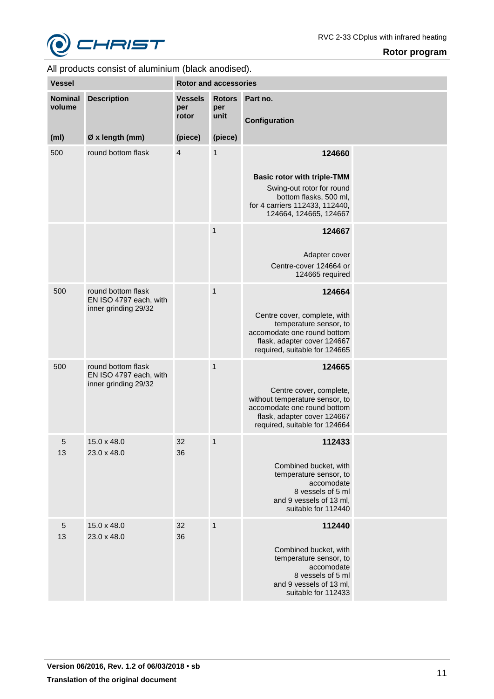

| <b>Vessel</b>            |                                                                      | <b>Rotor and accessories</b>   |                              |                                                                                                                                                                    |  |  |
|--------------------------|----------------------------------------------------------------------|--------------------------------|------------------------------|--------------------------------------------------------------------------------------------------------------------------------------------------------------------|--|--|
| <b>Nominal</b><br>volume | <b>Description</b>                                                   | <b>Vessels</b><br>per<br>rotor | <b>Rotors</b><br>per<br>unit | Part no.<br>Configuration                                                                                                                                          |  |  |
| (m <sub>l</sub> )        | Ø x length (mm)                                                      | (piece)                        | (piece)                      |                                                                                                                                                                    |  |  |
| 500                      | round bottom flask                                                   | $\overline{4}$                 | $\mathbf{1}$                 | 124660<br><b>Basic rotor with triple-TMM</b><br>Swing-out rotor for round<br>bottom flasks, 500 ml,<br>for 4 carriers 112433, 112440,<br>124664, 124665, 124667    |  |  |
|                          |                                                                      |                                | $\mathbf{1}$                 | 124667<br>Adapter cover<br>Centre-cover 124664 or<br>124665 required                                                                                               |  |  |
| 500                      | round bottom flask<br>EN ISO 4797 each, with<br>inner grinding 29/32 |                                | $\mathbf{1}$                 | 124664<br>Centre cover, complete, with<br>temperature sensor, to<br>accomodate one round bottom<br>flask, adapter cover 124667<br>required, suitable for 124665    |  |  |
| 500                      | round bottom flask<br>EN ISO 4797 each, with<br>inner grinding 29/32 |                                | $\mathbf{1}$                 | 124665<br>Centre cover, complete,<br>without temperature sensor, to<br>accomodate one round bottom<br>flask, adapter cover 124667<br>required, suitable for 124664 |  |  |
| 5<br>13                  | 15.0 x 48.0<br>23.0 x 48.0                                           | 32<br>36                       | $\mathbf{1}$                 | 112433<br>Combined bucket, with<br>temperature sensor, to<br>accomodate<br>8 vessels of 5 ml<br>and 9 vessels of 13 ml,<br>suitable for 112440                     |  |  |
| $\overline{5}$<br>13     | 15.0 x 48.0<br>23.0 x 48.0                                           | 32<br>36                       | $\mathbf{1}$                 | 112440<br>Combined bucket, with<br>temperature sensor, to<br>accomodate<br>8 vessels of 5 ml<br>and 9 vessels of 13 ml,<br>suitable for 112433                     |  |  |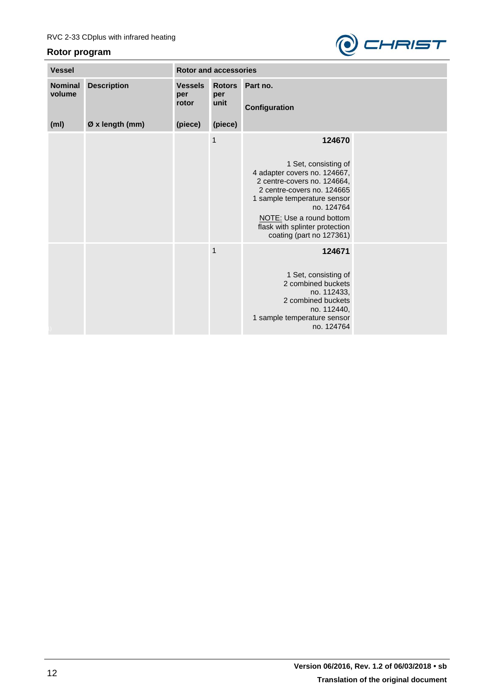

| <b>Vessel</b>            |                    | <b>Rotor and accessories</b>   |                              |                                                                                                                                                                                                                                                                    |  |  |
|--------------------------|--------------------|--------------------------------|------------------------------|--------------------------------------------------------------------------------------------------------------------------------------------------------------------------------------------------------------------------------------------------------------------|--|--|
| <b>Nominal</b><br>volume | <b>Description</b> | <b>Vessels</b><br>per<br>rotor | <b>Rotors</b><br>per<br>unit | Part no.<br>Configuration                                                                                                                                                                                                                                          |  |  |
| (m <sub>l</sub> )        | Ø x length (mm)    | (piece)                        | (piece)                      |                                                                                                                                                                                                                                                                    |  |  |
|                          |                    |                                | $\mathbf{1}$                 | 124670<br>1 Set, consisting of<br>4 adapter covers no. 124667,<br>2 centre-covers no. 124664,<br>2 centre-covers no. 124665<br>1 sample temperature sensor<br>no. 124764<br>NOTE: Use a round bottom<br>flask with splinter protection<br>coating (part no 127361) |  |  |
|                          |                    |                                | $\mathbf{1}$                 | 124671<br>1 Set, consisting of<br>2 combined buckets<br>no. 112433,<br>2 combined buckets<br>no. 112440,<br>1 sample temperature sensor<br>no. 124764                                                                                                              |  |  |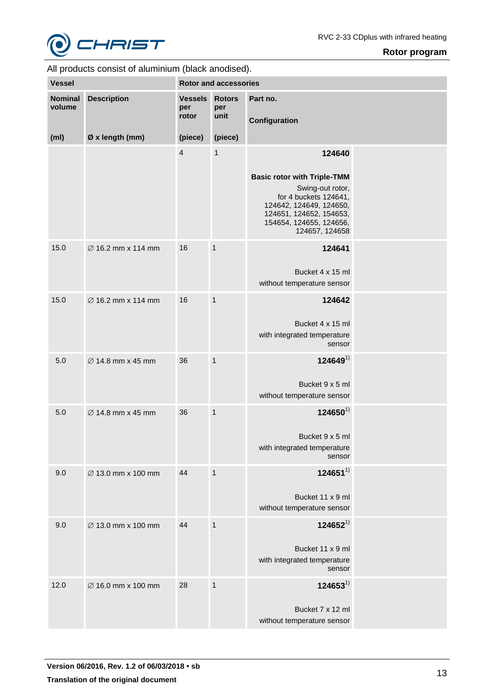

| <b>Vessel</b>            |                                | <b>Rotor and accessories</b>   |                              |                                                                                                                                                                                              |  |
|--------------------------|--------------------------------|--------------------------------|------------------------------|----------------------------------------------------------------------------------------------------------------------------------------------------------------------------------------------|--|
| <b>Nominal</b><br>volume | <b>Description</b>             | <b>Vessels</b><br>per<br>rotor | <b>Rotors</b><br>per<br>unit | Part no.<br>Configuration                                                                                                                                                                    |  |
| (m <sub>l</sub> )        | Ø x length (mm)                | (piece)                        | (piece)                      |                                                                                                                                                                                              |  |
|                          |                                | $\overline{4}$                 | 1                            | 124640<br><b>Basic rotor with Triple-TMM</b><br>Swing-out rotor,<br>for 4 buckets 124641,<br>124642, 124649, 124650,<br>124651, 124652, 154653,<br>154654, 124655, 124656,<br>124657, 124658 |  |
| 15.0                     | Ø 16.2 mm x 114 mm             | 16                             | $\mathbf{1}$                 | 124641<br>Bucket 4 x 15 ml<br>without temperature sensor                                                                                                                                     |  |
| 15.0                     | $\varnothing$ 16.2 mm x 114 mm | 16                             | $\mathbf{1}$                 | 124642<br>Bucket 4 x 15 ml<br>with integrated temperature<br>sensor                                                                                                                          |  |
| 5.0                      | $\varnothing$ 14.8 mm x 45 mm  | 36                             | $\mathbf{1}$                 | $124649^{1}$<br>Bucket 9 x 5 ml<br>without temperature sensor                                                                                                                                |  |
| 5.0                      | $\varnothing$ 14.8 mm x 45 mm  | 36                             | $\mathbf{1}$                 | $124650^{1}$<br>Bucket 9 x 5 ml<br>with integrated temperature<br>sensor                                                                                                                     |  |
| 9.0                      | Ø 13.0 mm x 100 mm             | 44                             | $\mathbf{1}$                 | $124651^{1}$<br>Bucket 11 x 9 ml<br>without temperature sensor                                                                                                                               |  |
| 9.0                      | Ø 13.0 mm x 100 mm             | 44                             | $\mathbf{1}$                 | $124652^{1}$<br>Bucket 11 x 9 ml<br>with integrated temperature<br>sensor                                                                                                                    |  |
| 12.0                     | Ø 16.0 mm x 100 mm             | 28                             | $\mathbf{1}$                 | $124653^{1}$<br>Bucket 7 x 12 ml<br>without temperature sensor                                                                                                                               |  |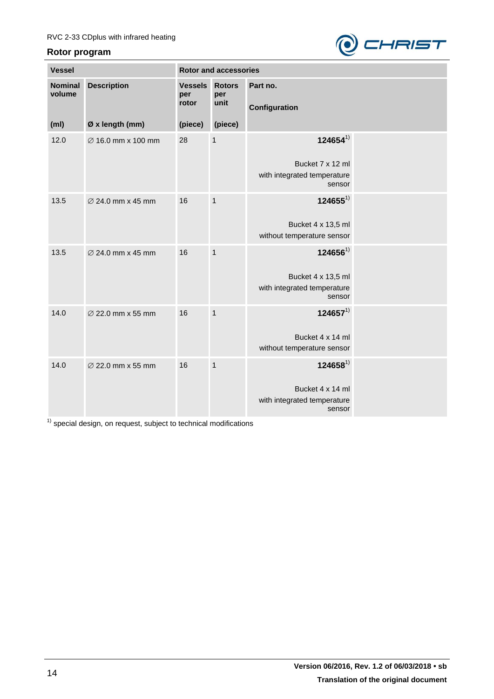

| <b>Vessel</b>            |                               | <b>Rotor and accessories</b>   |                              |                                       |  |
|--------------------------|-------------------------------|--------------------------------|------------------------------|---------------------------------------|--|
| <b>Nominal</b><br>volume | <b>Description</b>            | <b>Vessels</b><br>per<br>rotor | <b>Rotors</b><br>per<br>unit | Part no.                              |  |
|                          |                               |                                |                              | Configuration                         |  |
| (m <sub>l</sub> )        | Ø x length (mm)               | (piece)                        | (piece)                      |                                       |  |
| 12.0                     | Ø 16.0 mm x 100 mm            | 28                             | 1                            | $124654^{1}$                          |  |
|                          |                               |                                |                              | Bucket 7 x 12 ml                      |  |
|                          |                               |                                |                              | with integrated temperature<br>sensor |  |
| 13.5                     | ∅ 24.0 mm x 45 mm             | 16                             | $\mathbf{1}$                 | $124655^{1}$                          |  |
|                          |                               |                                |                              | Bucket 4 x 13,5 ml                    |  |
|                          |                               |                                |                              | without temperature sensor            |  |
| 13.5                     | $\varnothing$ 24.0 mm x 45 mm | 16                             | $\mathbf{1}$                 | $124656^{1}$                          |  |
|                          |                               |                                |                              | Bucket 4 x 13,5 ml                    |  |
|                          |                               |                                |                              | with integrated temperature<br>sensor |  |
| 14.0                     | ∅ 22.0 mm x 55 mm             | 16                             | $\mathbf{1}$                 | $124657^{1}$                          |  |
|                          |                               |                                |                              | Bucket 4 x 14 ml                      |  |
|                          |                               |                                |                              | without temperature sensor            |  |
| 14.0                     | ∅ 22.0 mm x 55 mm             | 16                             | $\mathbf{1}$                 | $124658^{1}$                          |  |
|                          |                               |                                |                              | Bucket 4 x 14 ml                      |  |
|                          |                               |                                |                              | with integrated temperature<br>sensor |  |

<sup>1)</sup> special design, on request, subject to technical modifications